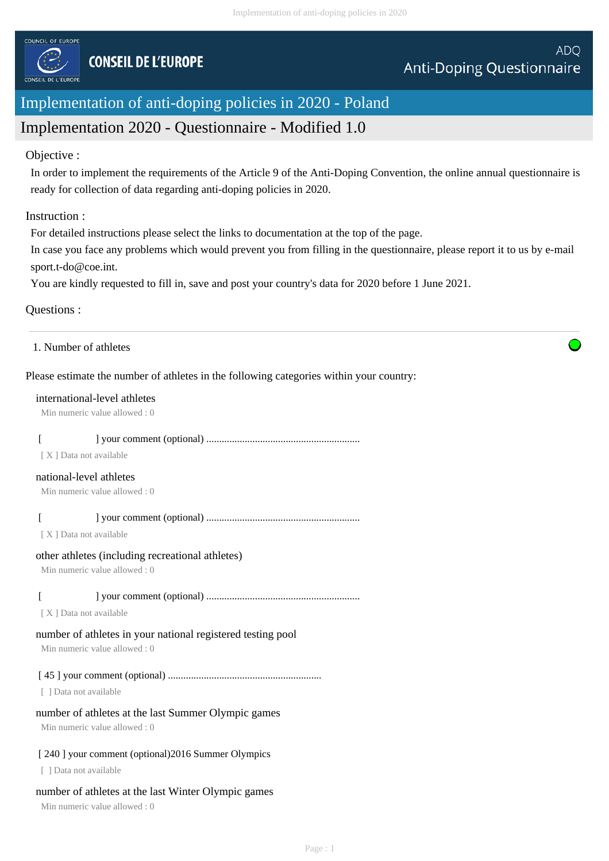

# Implementation of anti-doping policies in 2020 - Poland

## Implementation 2020 - Questionnaire - Modified 1.0

#### Objective :

In order to implement the requirements of the Article 9 of the Anti-Doping Convention, the online annual questionnaire is ready for collection of data regarding anti-doping policies in 2020.

#### Instruction :

For detailed instructions please select the links to documentation at the top of the page.

In case you face any problems which would prevent you from filling in the questionnaire, please report it to us by e-mail sport.t-do@coe.int.

You are kindly requested to fill in, save and post your country's data for 2020 before 1 June 2021.

#### Questions :

1. Number of athletes

#### Please estimate the number of athletes in the following categories within your country:

#### international-level athletes

Min numeric value allowed : 0

## [ ] your comment (optional) ............................................................

[ X ] Data not available

#### national-level athletes

Min numeric value allowed : 0

#### [ ] your comment (optional) ............................................................

[ X ] Data not available

#### other athletes (including recreational athletes)

Min numeric value allowed : 0

## [ ] your comment (optional) ............................................................

[ X ] Data not available

## number of athletes in your national registered testing pool

Min numeric value allowed : 0

## [ 45 ] your comment (optional) ............................................................

[ ] Data not available

## number of athletes at the last Summer Olympic games

Min numeric value allowed : 0

## [ 240 ] your comment (optional) 2016 Summer Olympics

[ ] Data not available

## number of athletes at the last Winter Olympic games

Min numeric value allowed : 0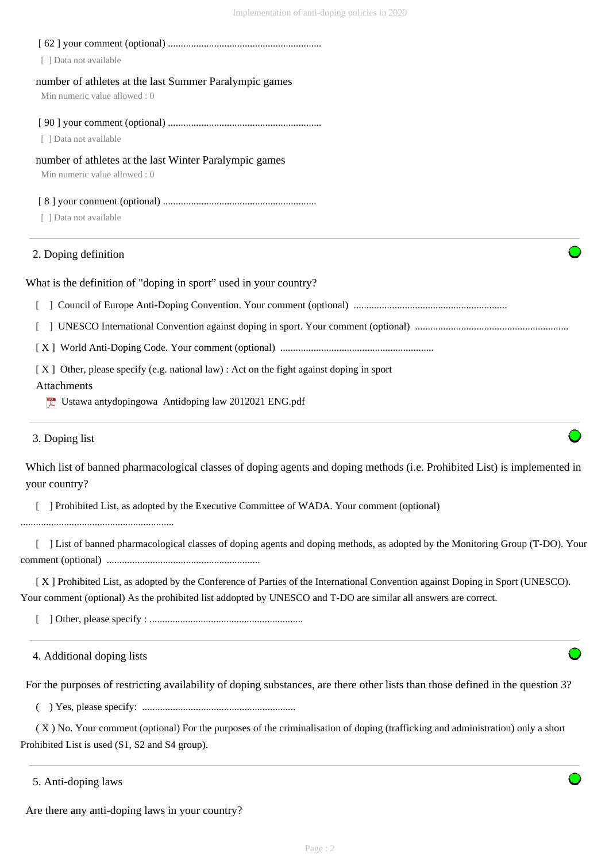| [ ] Data not available                                                                                                                                                                                                                            |
|---------------------------------------------------------------------------------------------------------------------------------------------------------------------------------------------------------------------------------------------------|
| number of athletes at the last Summer Paralympic games<br>Min numeric value allowed: 0                                                                                                                                                            |
| [ ] Data not available                                                                                                                                                                                                                            |
| number of athletes at the last Winter Paralympic games<br>Min numeric value allowed: 0                                                                                                                                                            |
| [ ] Data not available                                                                                                                                                                                                                            |
| 2. Doping definition                                                                                                                                                                                                                              |
| What is the definition of "doping in sport" used in your country?                                                                                                                                                                                 |
|                                                                                                                                                                                                                                                   |
|                                                                                                                                                                                                                                                   |
|                                                                                                                                                                                                                                                   |
| [X] Other, please specify (e.g. national law) : Act on the fight against doping in sport<br>Attachments<br>Ustawa antydopingowa Antidoping law 2012021 ENG.pdf                                                                                    |
| 3. Doping list                                                                                                                                                                                                                                    |
| Which list of banned pharmacological classes of doping agents and doping methods (i.e. Prohibited List) is implemented in<br>your country?                                                                                                        |
| ] Prohibited List, as adopted by the Executive Committee of WADA. Your comment (optional)                                                                                                                                                         |
| [ ] List of banned pharmacological classes of doping agents and doping methods, as adopted by the Monitoring Group (T-DO). Your                                                                                                                   |
| [X] Prohibited List, as adopted by the Conference of Parties of the International Convention against Doping in Sport (UNESCO).<br>Your comment (optional) As the prohibited list addopted by UNESCO and T-DO are similar all answers are correct. |
|                                                                                                                                                                                                                                                   |
| 4. Additional doping lists                                                                                                                                                                                                                        |
| For the purposes of restricting availability of doping substances, are there other lists than those defined in the question 3?                                                                                                                    |
|                                                                                                                                                                                                                                                   |

 ( X ) No. Your comment (optional) For the purposes of the criminalisation of doping (trafficking and administration) only a short Prohibited List is used (S1, S2 and S4 group).

5. Anti-doping laws

Are there any anti-doping laws in your country?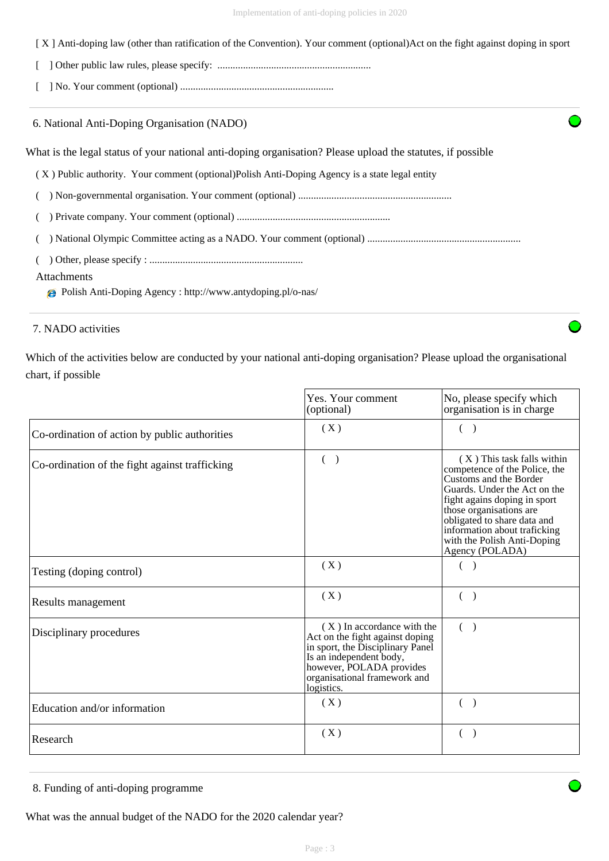| [X] Anti-doping law (other than ratification of the Convention). Your comment (optional) Act on the fight against doping in sport |  |  |
|-----------------------------------------------------------------------------------------------------------------------------------|--|--|
|                                                                                                                                   |  |  |

|--|--|

[ ] No. Your comment (optional) ............................................................

6. National Anti-Doping Organisation (NADO)

What is the legal status of your national anti-doping organisation? Please upload the statutes, if possible

( X ) Public authority. Your comment (optional)Polish Anti-Doping Agency is a state legal entity

( ) Non-governmental organisation. Your comment (optional) ............................................................

( ) Private company. Your comment (optional) ............................................................

( ) National Olympic Committee acting as a NADO. Your comment (optional) ............................................................

( ) Other, please specify : ............................................................

#### Attachments

Polish Anti-Doping Agency : http://www.antydoping.pl/o-nas/

## 7. NADO activities

Which of the activities below are conducted by your national anti-doping organisation? Please upload the organisational chart, if possible

|                                                | Yes. Your comment<br>(optional)                                                                                                                                                                        | No, please specify which<br>organisation is in charge                                                                                                                                                                                                                                             |
|------------------------------------------------|--------------------------------------------------------------------------------------------------------------------------------------------------------------------------------------------------------|---------------------------------------------------------------------------------------------------------------------------------------------------------------------------------------------------------------------------------------------------------------------------------------------------|
| Co-ordination of action by public authorities  | (X)                                                                                                                                                                                                    | $\left($<br>$\rightarrow$                                                                                                                                                                                                                                                                         |
| Co-ordination of the fight against trafficking | $($ )                                                                                                                                                                                                  | (X) This task falls within<br>competence of the Police, the<br>Customs and the Border<br>Guards. Under the Act on the<br>fight agains doping in sport<br>those organisations are<br>obligated to share data and<br>information about traficking<br>with the Polish Anti-Doping<br>Agency (POLADA) |
| Testing (doping control)                       | (X)                                                                                                                                                                                                    |                                                                                                                                                                                                                                                                                                   |
| Results management                             | (X)                                                                                                                                                                                                    | $\left($<br>$\lambda$                                                                                                                                                                                                                                                                             |
| Disciplinary procedures                        | (X) In accordance with the<br>Act on the fight against doping<br>in sport, the Disciplinary Panel<br>Is an independent body,<br>however, POLADA provides<br>organisational framework and<br>logistics. | $\left($<br>$\lambda$                                                                                                                                                                                                                                                                             |
| Education and/or information                   | (X)                                                                                                                                                                                                    | $($ )                                                                                                                                                                                                                                                                                             |
| Research                                       | (X)                                                                                                                                                                                                    | $\left($                                                                                                                                                                                                                                                                                          |

<sup>8.</sup> Funding of anti-doping programme

What was the annual budget of the NADO for the 2020 calendar year?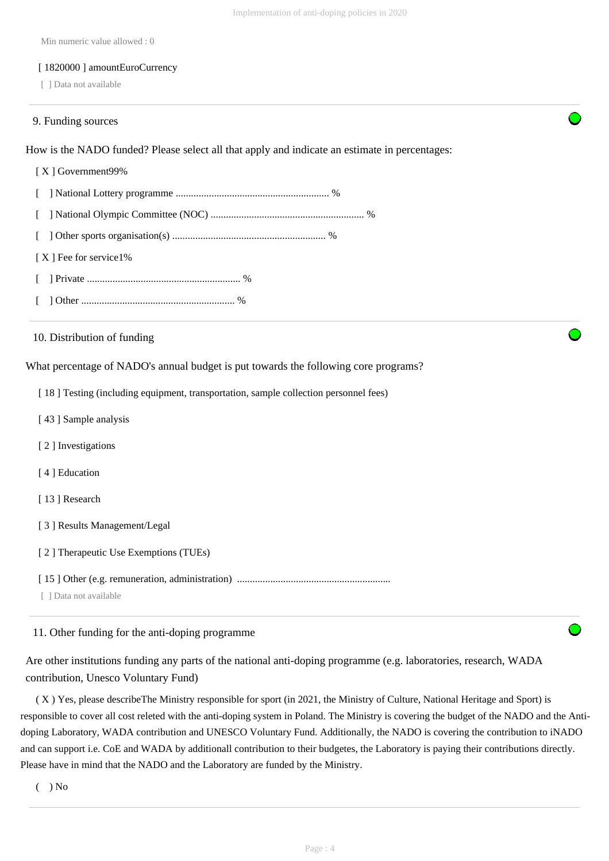Min numeric value allowed : 0

#### [ 1820000 ] amountEuroCurrency

[ ] Data not available

#### 9. Funding sources

How is the NADO funded? Please select all that apply and indicate an estimate in percentages:

# [ X ] Government99% [ ] National Lottery programme ............................................................ % [ ] National Olympic Committee (NOC) ............................................................ % [ ] Other sports organisation(s) ............................................................ % [X ] Fee for service1% [ ] Private ............................................................ % [ ] Other ............................................................ %

10. Distribution of funding

What percentage of NADO's annual budget is put towards the following core programs?

[ 18 ] Testing (including equipment, transportation, sample collection personnel fees)

- [43] Sample analysis
- [ 2 ] Investigations
- [ 4 ] Education
- [13] Research
- [ 3 ] Results Management/Legal
- [ 2 ] Therapeutic Use Exemptions (TUEs)
- [ 15 ] Other (e.g. remuneration, administration) ............................................................
- [ ] Data not available

11. Other funding for the anti-doping programme

Are other institutions funding any parts of the national anti-doping programme (e.g. laboratories, research, WADA contribution, Unesco Voluntary Fund)

 ( X ) Yes, please describeThe Ministry responsible for sport (in 2021, the Ministry of Culture, National Heritage and Sport) is responsible to cover all cost releted with the anti-doping system in Poland. The Ministry is covering the budget of the NADO and the Antidoping Laboratory, WADA contribution and UNESCO Voluntary Fund. Additionally, the NADO is covering the contribution to iNADO and can support i.e. CoE and WADA by additionall contribution to their budgetes, the Laboratory is paying their contributions directly. Please have in mind that the NADO and the Laboratory are funded by the Ministry.

 $($   $)$  No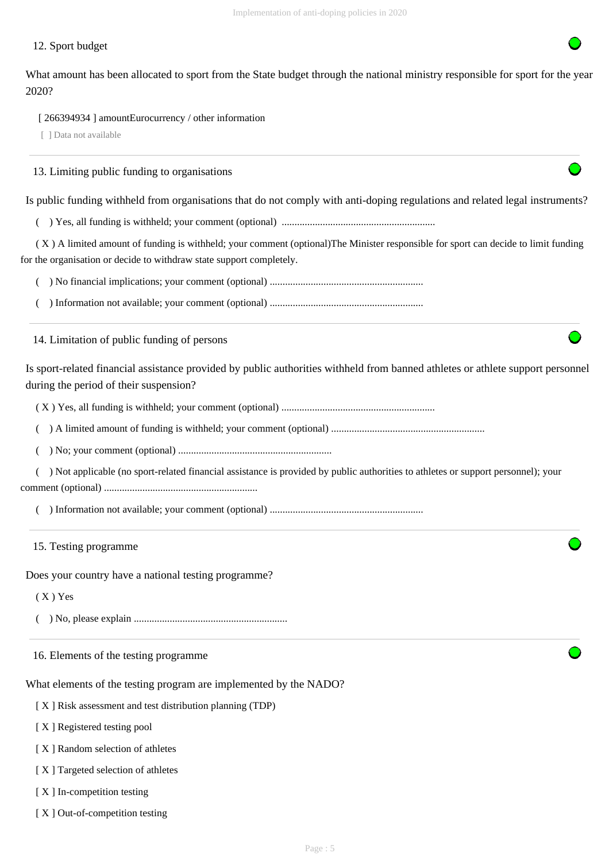#### 12. Sport budget

What amount has been allocated to sport from the State budget through the national ministry responsible for sport for the year 2020?

[ 266394934 ] amountEurocurrency / other information

[ ] Data not available

13. Limiting public funding to organisations

Is public funding withheld from organisations that do not comply with anti-doping regulations and related legal instruments?

( ) Yes, all funding is withheld; your comment (optional) ............................................................

 ( X ) A limited amount of funding is withheld; your comment (optional)The Minister responsible for sport can decide to limit funding for the organisation or decide to withdraw state support completely.

( ) No financial implications; your comment (optional) ............................................................

( ) Information not available; your comment (optional) ............................................................

14. Limitation of public funding of persons

Is sport-related financial assistance provided by public authorities withheld from banned athletes or athlete support personnel during the period of their suspension?

( X ) Yes, all funding is withheld; your comment (optional) ............................................................

( ) A limited amount of funding is withheld; your comment (optional) ............................................................

( ) No; your comment (optional) ............................................................

 ( ) Not applicable (no sport-related financial assistance is provided by public authorities to athletes or support personnel); your comment (optional) ............................................................

( ) Information not available; your comment (optional) ............................................................

15. Testing programme

Does your country have a national testing programme?

( X ) Yes

( ) No, please explain ............................................................

16. Elements of the testing programme

What elements of the testing program are implemented by the NADO?

[ X ] Risk assessment and test distribution planning (TDP)

[ X ] Registered testing pool

[ X ] Random selection of athletes

[X] Targeted selection of athletes

[ $X$ ] In-competition testing

[X ] Out-of-competition testing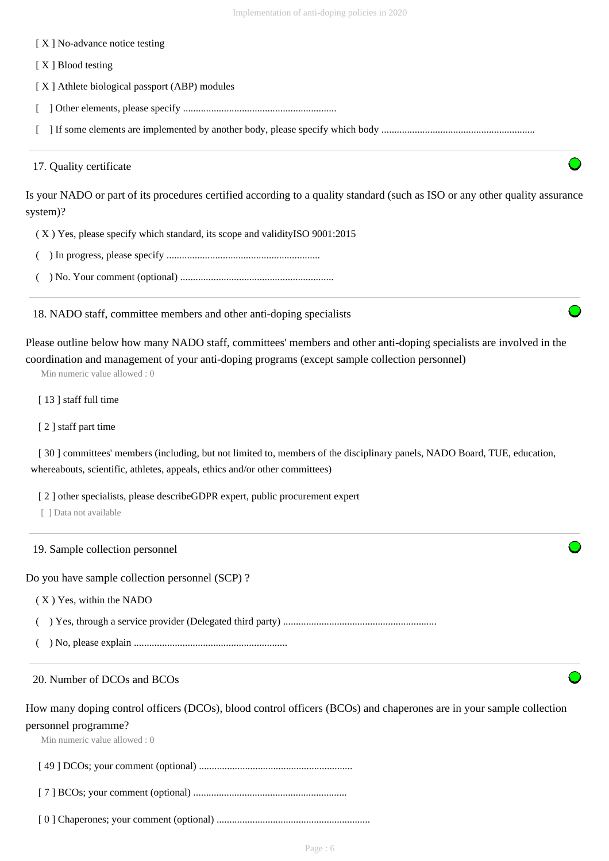| [X] No-advance notice testing                                                                                                                                                                                                                        |
|------------------------------------------------------------------------------------------------------------------------------------------------------------------------------------------------------------------------------------------------------|
| [X] Blood testing                                                                                                                                                                                                                                    |
| [X] Athlete biological passport (ABP) modules                                                                                                                                                                                                        |
|                                                                                                                                                                                                                                                      |
|                                                                                                                                                                                                                                                      |
| 17. Quality certificate                                                                                                                                                                                                                              |
| Is your NADO or part of its procedures certified according to a quality standard (such as ISO or any other quality assurance<br>system)?                                                                                                             |
| (X) Yes, please specify which standard, its scope and validity ISO 9001:2015                                                                                                                                                                         |
|                                                                                                                                                                                                                                                      |
|                                                                                                                                                                                                                                                      |
| 18. NADO staff, committee members and other anti-doping specialists                                                                                                                                                                                  |
| Please outline below how many NADO staff, committees' members and other anti-doping specialists are involved in the<br>coordination and management of your anti-doping programs (except sample collection personnel)<br>Min numeric value allowed: 0 |
| [13] staff full time                                                                                                                                                                                                                                 |
| [2] staff part time                                                                                                                                                                                                                                  |
| [30] committees' members (including, but not limited to, members of the disciplinary panels, NADO Board, TUE, education,<br>whereabouts, scientific, athletes, appeals, ethics and/or other committees)                                              |
| [2] other specialists, please describe GDPR expert, public procurement expert<br>[ ] Data not available                                                                                                                                              |
| 19. Sample collection personnel                                                                                                                                                                                                                      |
| Do you have sample collection personnel (SCP)?                                                                                                                                                                                                       |
| (X) Yes, within the NADO                                                                                                                                                                                                                             |
|                                                                                                                                                                                                                                                      |
|                                                                                                                                                                                                                                                      |
| 20. Number of DCOs and BCOs                                                                                                                                                                                                                          |
| How many doping control officers (DCOs), blood control officers (BCOs) and chaperones are in your sample collection<br>personnel programme?<br>Min numeric value allowed: 0                                                                          |
|                                                                                                                                                                                                                                                      |
|                                                                                                                                                                                                                                                      |
|                                                                                                                                                                                                                                                      |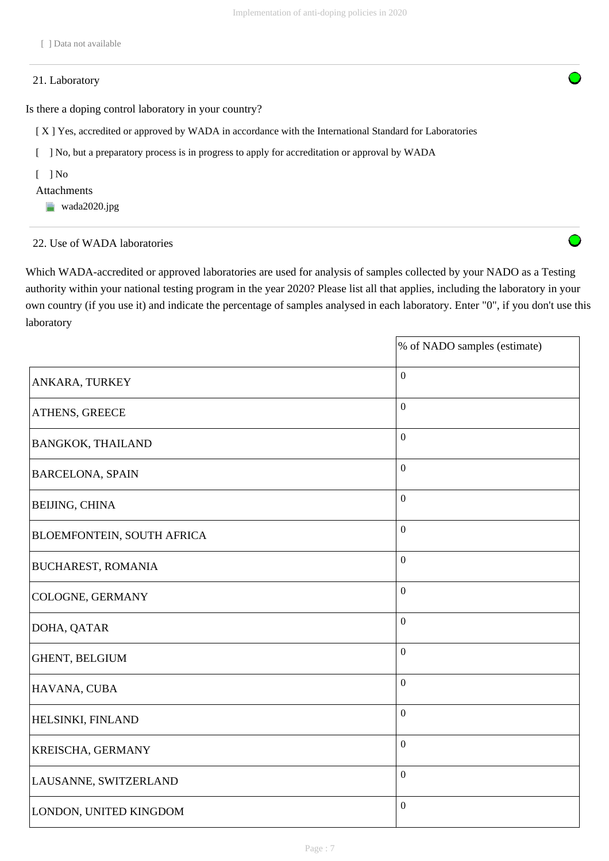#### 21. Laboratory

Is there a doping control laboratory in your country?

[X ] Yes, accredited or approved by WADA in accordance with the International Standard for Laboratories

[ ] No, but a preparatory process is in progress to apply for accreditation or approval by WADA

 $\lceil$   $\rceil$  No

#### Attachments

**wada2020.jpg** 

#### 22. Use of WADA laboratories

Which WADA-accredited or approved laboratories are used for analysis of samples collected by your NADO as a Testing authority within your national testing program in the year 2020? Please list all that applies, including the laboratory in your own country (if you use it) and indicate the percentage of samples analysed in each laboratory. Enter "0", if you don't use this laboratory

|                                   | % of NADO samples (estimate) |
|-----------------------------------|------------------------------|
| ANKARA, TURKEY                    | $\boldsymbol{0}$             |
| ATHENS, GREECE                    | $\mathbf{0}$                 |
| <b>BANGKOK, THAILAND</b>          | $\overline{0}$               |
| <b>BARCELONA, SPAIN</b>           | $\overline{0}$               |
| <b>BEIJING, CHINA</b>             | $\mathbf{0}$                 |
| <b>BLOEMFONTEIN, SOUTH AFRICA</b> | $\mathbf{0}$                 |
| <b>BUCHAREST, ROMANIA</b>         | $\overline{0}$               |
| COLOGNE, GERMANY                  | $\boldsymbol{0}$             |
| DOHA, QATAR                       | $\boldsymbol{0}$             |
| GHENT, BELGIUM                    | $\mathbf{0}$                 |
| HAVANA, CUBA                      | $\boldsymbol{0}$             |
| HELSINKI, FINLAND                 | $\boldsymbol{0}$             |
| KREISCHA, GERMANY                 | $\mathbf{0}$                 |
| LAUSANNE, SWITZERLAND             | $\mathbf{0}$                 |
| LONDON, UNITED KINGDOM            | $\boldsymbol{0}$             |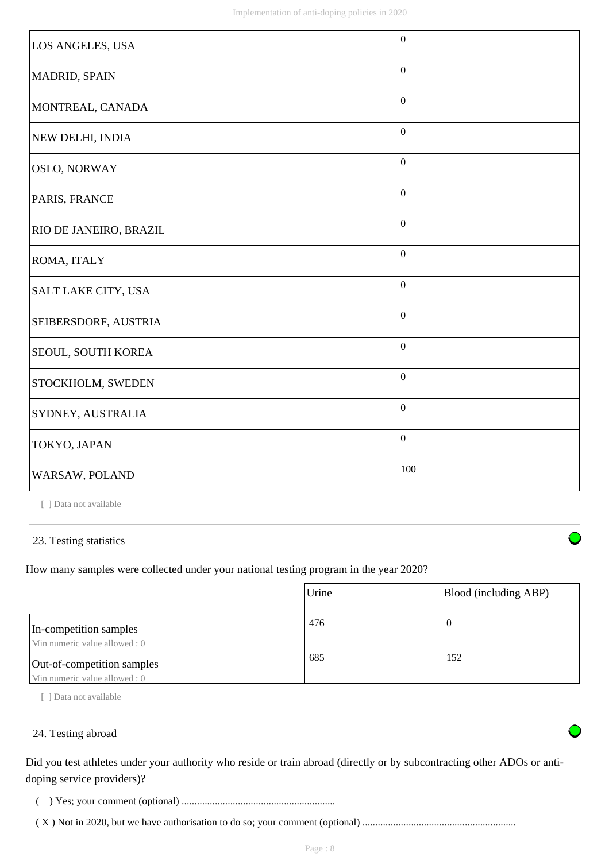| LOS ANGELES, USA           | $\boldsymbol{0}$ |
|----------------------------|------------------|
| MADRID, SPAIN              | $\mathbf{0}$     |
| MONTREAL, CANADA           | $\boldsymbol{0}$ |
| NEW DELHI, INDIA           | $\mathbf{0}$     |
| <b>OSLO, NORWAY</b>        | $\boldsymbol{0}$ |
| PARIS, FRANCE              | $\mathbf{0}$     |
| RIO DE JANEIRO, BRAZIL     | $\boldsymbol{0}$ |
| ROMA, ITALY                | $\boldsymbol{0}$ |
| <b>SALT LAKE CITY, USA</b> | $\mathbf{0}$     |
| SEIBERSDORF, AUSTRIA       | $\boldsymbol{0}$ |
| SEOUL, SOUTH KOREA         | $\boldsymbol{0}$ |
| STOCKHOLM, SWEDEN          | $\boldsymbol{0}$ |
| SYDNEY, AUSTRALIA          | $\boldsymbol{0}$ |
| TOKYO, JAPAN               | $\boldsymbol{0}$ |
| WARSAW, POLAND             | 100              |

[ ] Data not available

#### 23. Testing statistics

How many samples were collected under your national testing program in the year 2020?

|                                                             | Urine | Blood (including ABP) |
|-------------------------------------------------------------|-------|-----------------------|
| In-competition samples<br>Min numeric value allowed : 0     | 476   | 0                     |
| Out-of-competition samples<br>Min numeric value allowed : 0 | 685   | 152                   |

[ ] Data not available

### 24. Testing abroad

Did you test athletes under your authority who reside or train abroad (directly or by subcontracting other ADOs or antidoping service providers)?

( ) Yes; your comment (optional) ............................................................

( X ) Not in 2020, but we have authorisation to do so; your comment (optional) ............................................................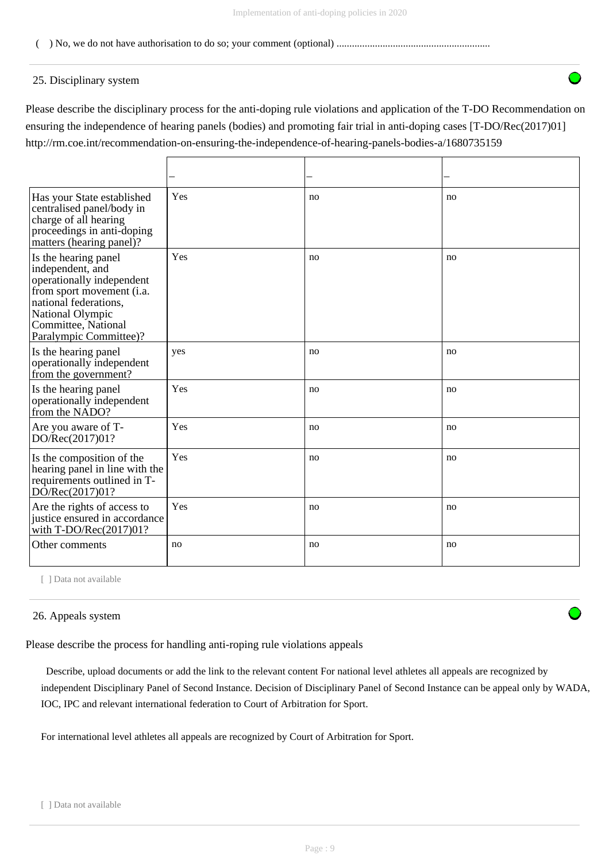#### ( ) No, we do not have authorisation to do so; your comment (optional) ............................................................

#### 25. Disciplinary system

Please describe the disciplinary process for the anti-doping rule violations and application of the T-DO Recommendation on ensuring the independence of hearing panels (bodies) and promoting fair trial in anti-doping cases [T-DO/Rec(2017)01] http://rm.coe.int/recommendation-on-ensuring-the-independence-of-hearing-panels-bodies-a/1680735159

| Has your State established<br>centralised panel/body in<br>charge of all hearing<br>proceedings in anti-doping<br>matters (hearing panel)?                                                       | Yes | no | no |
|--------------------------------------------------------------------------------------------------------------------------------------------------------------------------------------------------|-----|----|----|
| Is the hearing panel<br>independent, and<br>operationally independent<br>from sport movement (i.a.<br>national federations,<br>National Olympic<br>Committee, National<br>Paralympic Committee)? | Yes | no | no |
| Is the hearing panel<br>operationally independent<br>from the government?                                                                                                                        | yes | no | no |
| Is the hearing panel<br>operationally independent<br>from the NADO?                                                                                                                              | Yes | no | no |
| Are you aware of T-<br>DO/Rec(2017)01?                                                                                                                                                           | Yes | no | no |
| Is the composition of the<br>hearing panel in line with the<br>requirements outlined in T-<br>$D\tilde{O}/Rec(2017)01?$                                                                          | Yes | no | no |
| Are the rights of access to<br>justice ensured in accordance<br>with $T\text{-DO/Rec}(2017)01?$                                                                                                  | Yes | no | no |
| Other comments                                                                                                                                                                                   | no  | no | no |

[ ] Data not available

#### 26. Appeals system

Please describe the process for handling anti-roping rule violations appeals

 Describe, upload documents or add the link to the relevant content For national level athletes all appeals are recognized by independent Disciplinary Panel of Second Instance. Decision of Disciplinary Panel of Second Instance can be appeal only by WADA, IOC, IPC and relevant international federation to Court of Arbitration for Sport.

For international level athletes all appeals are recognized by Court of Arbitration for Sport.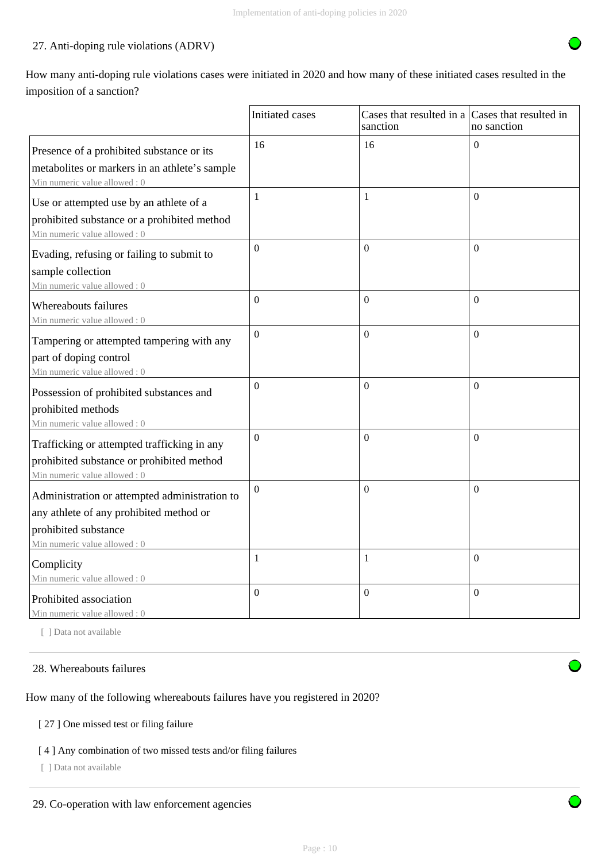## 27. Anti-doping rule violations (ADRV)

How many anti-doping rule violations cases were initiated in 2020 and how many of these initiated cases resulted in the imposition of a sanction?

|                                                                                                                                                  | <b>Initiated</b> cases | Cases that resulted in a Cases that resulted in<br>sanction | no sanction    |
|--------------------------------------------------------------------------------------------------------------------------------------------------|------------------------|-------------------------------------------------------------|----------------|
| Presence of a prohibited substance or its<br>metabolites or markers in an athlete's sample<br>Min numeric value allowed: 0                       | 16                     | 16                                                          | $\Omega$       |
| Use or attempted use by an athlete of a<br>prohibited substance or a prohibited method<br>Min numeric value allowed: 0                           | $\mathbf{1}$           | $\mathbf{1}$                                                | $\Omega$       |
| Evading, refusing or failing to submit to<br>sample collection<br>Min numeric value allowed: 0                                                   | $\boldsymbol{0}$       | $\boldsymbol{0}$                                            | $\Omega$       |
| Whereabouts failures<br>Min numeric value allowed: 0                                                                                             | $\overline{0}$         | $\Omega$                                                    | $\Omega$       |
| Tampering or attempted tampering with any<br>part of doping control<br>Min numeric value allowed: 0                                              | $\theta$               | $\overline{0}$                                              | $\Omega$       |
| Possession of prohibited substances and<br>prohibited methods<br>Min numeric value allowed: 0                                                    | $\Omega$               | $\mathbf{0}$                                                | $\Omega$       |
| Trafficking or attempted trafficking in any<br>prohibited substance or prohibited method<br>Min numeric value allowed: 0                         | $\theta$               | $\theta$                                                    | $\Omega$       |
| Administration or attempted administration to<br>any athlete of any prohibited method or<br>prohibited substance<br>Min numeric value allowed: 0 | $\boldsymbol{0}$       | $\mathbf{0}$                                                | $\Omega$       |
| Complicity<br>Min numeric value allowed: 0                                                                                                       | $\mathbf{1}$           | $\mathbf{1}$                                                | $\overline{0}$ |
| Prohibited association<br>Min numeric value allowed: 0                                                                                           | $\boldsymbol{0}$       | $\mathbf{0}$                                                | $\mathbf{0}$   |

[ ] Data not available

#### 28. Whereabouts failures

How many of the following whereabouts failures have you registered in 2020?

### [ 27 ] One missed test or filing failure

## [ 4 ] Any combination of two missed tests and/or filing failures

[ ] Data not available



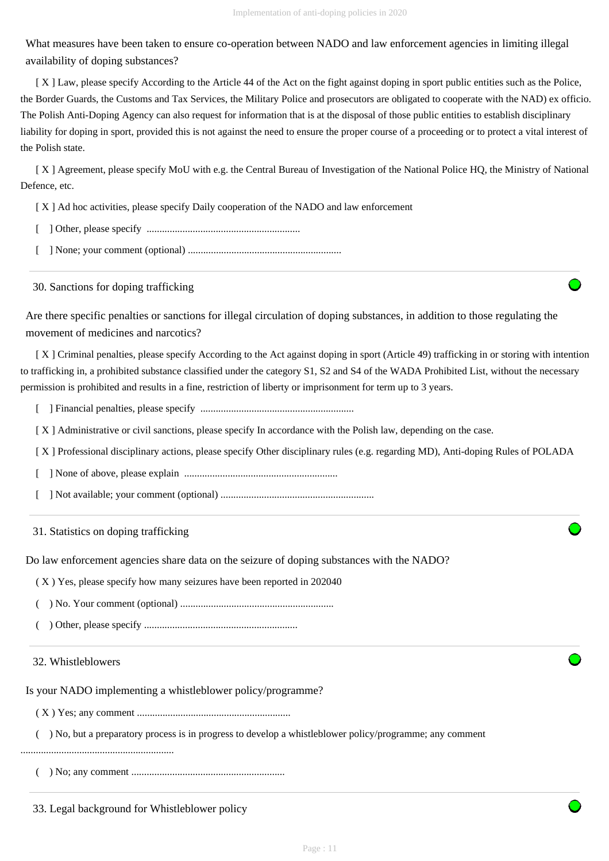What measures have been taken to ensure co-operation between NADO and law enforcement agencies in limiting illegal availability of doping substances?

 [ X ] Law, please specify According to the Article 44 of the Act on the fight against doping in sport public entities such as the Police, the Border Guards, the Customs and Tax Services, the Military Police and prosecutors are obligated to cooperate with the NAD) ex officio. The Polish Anti-Doping Agency can also request for information that is at the disposal of those public entities to establish disciplinary liability for doping in sport, provided this is not against the need to ensure the proper course of a proceeding or to protect a vital interest of the Polish state.

 [ X ] Agreement, please specify MoU with e.g. the Central Bureau of Investigation of the National Police HQ, the Ministry of National Defence, etc.

[ X ] Ad hoc activities, please specify Daily cooperation of the NADO and law enforcement

- [ ] Other, please specify ............................................................
- [ ] None; your comment (optional) ............................................................

30. Sanctions for doping trafficking

Are there specific penalties or sanctions for illegal circulation of doping substances, in addition to those regulating the movement of medicines and narcotics?

 [ X ] Criminal penalties, please specify According to the Act against doping in sport (Article 49) trafficking in or storing with intention to trafficking in, a prohibited substance classified under the category S1, S2 and S4 of the WADA Prohibited List, without the necessary permission is prohibited and results in a fine, restriction of liberty or imprisonment for term up to 3 years.

- [ ] Financial penalties, please specify ............................................................
- [X] Administrative or civil sanctions, please specify In accordance with the Polish law, depending on the case.
- [ X ] Professional disciplinary actions, please specify Other disciplinary rules (e.g. regarding MD), Anti-doping Rules of POLADA

[ ] None of above, please explain ............................................................

[ ] Not available; your comment (optional) ............................................................

31. Statistics on doping trafficking

Do law enforcement agencies share data on the seizure of doping substances with the NADO?

( X ) Yes, please specify how many seizures have been reported in 202040

- ( ) No. Your comment (optional) ............................................................
- ( ) Other, please specify ............................................................

#### 32. Whistleblowers

Is your NADO implementing a whistleblower policy/programme?

( X ) Yes; any comment ............................................................

( ) No, but a preparatory process is in progress to develop a whistleblower policy/programme; any comment

............................................................

( ) No; any comment ............................................................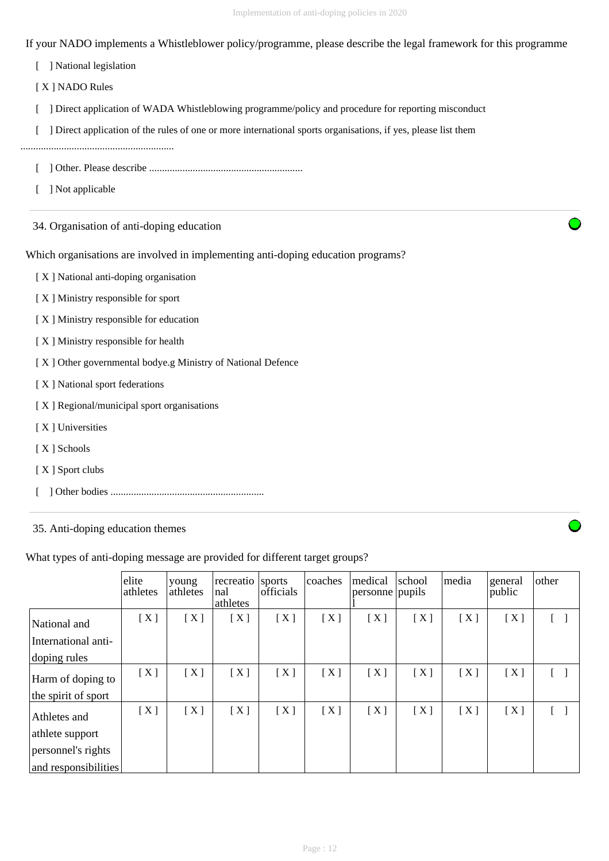If your NADO implements a Whistleblower policy/programme, please describe the legal framework for this programme

[ ] National legislation

[ X ] NADO Rules

[ ] Direct application of WADA Whistleblowing programme/policy and procedure for reporting misconduct

[ ] Direct application of the rules of one or more international sports organisations, if yes, please list them

............................................................

- [ ] Other. Please describe ............................................................
- [ ] Not applicable

34. Organisation of anti-doping education

Which organisations are involved in implementing anti-doping education programs?

[ X ] National anti-doping organisation

- [ X ] Ministry responsible for sport
- [ X ] Ministry responsible for education
- [ X ] Ministry responsible for health
- [ X ] Other governmental bodye.g Ministry of National Defence
- [ X ] National sport federations
- [X] Regional/municipal sport organisations
- [X] Universities
- [ X ] Schools
- [X] Sport clubs
- [ ] Other bodies ............................................................

35. Anti-doping education themes

What types of anti-doping message are provided for different target groups?

|                      | elite<br>athletes | voung<br>athletes | recreatio<br>nal<br>athletes | sports<br>officials | coaches | medical<br>personne pupils | school | media | general<br>public | other |
|----------------------|-------------------|-------------------|------------------------------|---------------------|---------|----------------------------|--------|-------|-------------------|-------|
| National and         | [X]               | [X]               | [X]                          | [X]                 | [X]     | [X]                        | [X]    | [X]   | [X]               |       |
| International anti-  |                   |                   |                              |                     |         |                            |        |       |                   |       |
| doping rules         |                   |                   |                              |                     |         |                            |        |       |                   |       |
| Harm of doping to    | [X]               | [X]               | [X]                          | [X]                 | [X]     | [X]                        | [X]    | [X]   | [X]               |       |
| the spirit of sport  |                   |                   |                              |                     |         |                            |        |       |                   |       |
| Athletes and         | [X]               | [X]               | [X]                          | [X]                 | [X]     | [X]                        | [X]    | [X]   | [X]               |       |
| athlete support      |                   |                   |                              |                     |         |                            |        |       |                   |       |
| personnel's rights   |                   |                   |                              |                     |         |                            |        |       |                   |       |
| and responsibilities |                   |                   |                              |                     |         |                            |        |       |                   |       |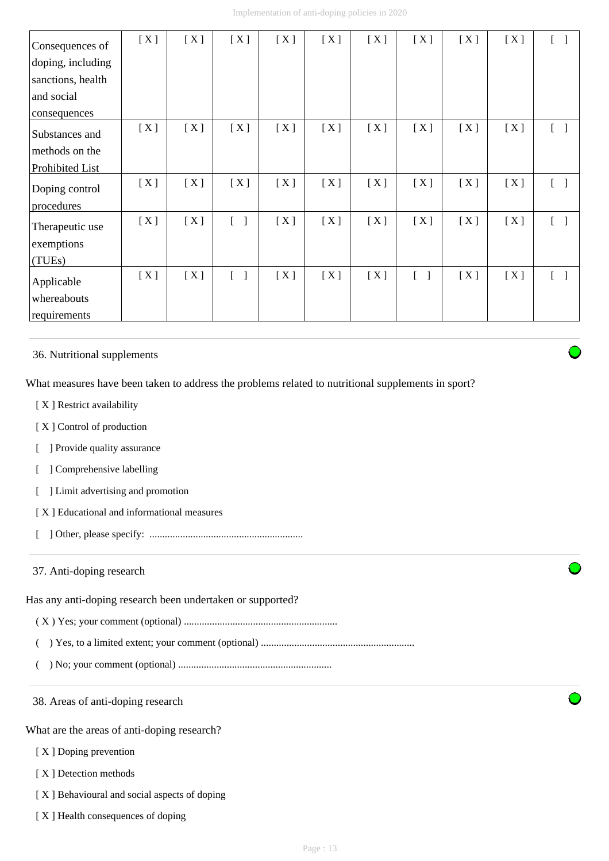| Consequences of   | [X] | [X] | [X]                               | [X] | [X] | [X] | [X]    | [X] | [X] |            |
|-------------------|-----|-----|-----------------------------------|-----|-----|-----|--------|-----|-----|------------|
| doping, including |     |     |                                   |     |     |     |        |     |     |            |
| sanctions, health |     |     |                                   |     |     |     |        |     |     |            |
| and social        |     |     |                                   |     |     |     |        |     |     |            |
| consequences      |     |     |                                   |     |     |     |        |     |     |            |
| Substances and    | [X] | [X] | [X]                               | [X] | [X] | [X] | [X]    | [X] | [X] | $\lceil$ 1 |
| methods on the    |     |     |                                   |     |     |     |        |     |     |            |
| Prohibited List   |     |     |                                   |     |     |     |        |     |     |            |
| Doping control    | [X] | [X] | [X]                               | [X] | [X] | [X] | [X]    | [X] | [X] | $\lceil$ 1 |
| procedures        |     |     |                                   |     |     |     |        |     |     |            |
| Therapeutic use   | [X] | [X] | $\begin{bmatrix} 1 \end{bmatrix}$ | [X] | [X] | [X] | [X]    | [X] | [X] |            |
| exemptions        |     |     |                                   |     |     |     |        |     |     |            |
| (TUEs)            |     |     |                                   |     |     |     |        |     |     |            |
| Applicable        | [X] | [X] | $\begin{bmatrix} 1 \end{bmatrix}$ | [X] | [X] | [X] | $[\ ]$ | [X] | [X] |            |
| whereabouts       |     |     |                                   |     |     |     |        |     |     |            |
| requirements      |     |     |                                   |     |     |     |        |     |     |            |

36. Nutritional supplements

What measures have been taken to address the problems related to nutritional supplements in sport?

- [X] Restrict availability
- [X] Control of production
- [ ] Provide quality assurance
- [ ] Comprehensive labelling
- [ ] Limit advertising and promotion
- [ X ] Educational and informational measures
- [ ] Other, please specify: ............................................................

#### 37. Anti-doping research

Has any anti-doping research been undertaken or supported?

- ( X ) Yes; your comment (optional) ............................................................
- ( ) Yes, to a limited extent; your comment (optional) ............................................................
- ( ) No; your comment (optional) ............................................................

38. Areas of anti-doping research

What are the areas of anti-doping research?

- [X] Doping prevention
- [X] Detection methods
- [ X ] Behavioural and social aspects of doping
- [ X ] Health consequences of doping